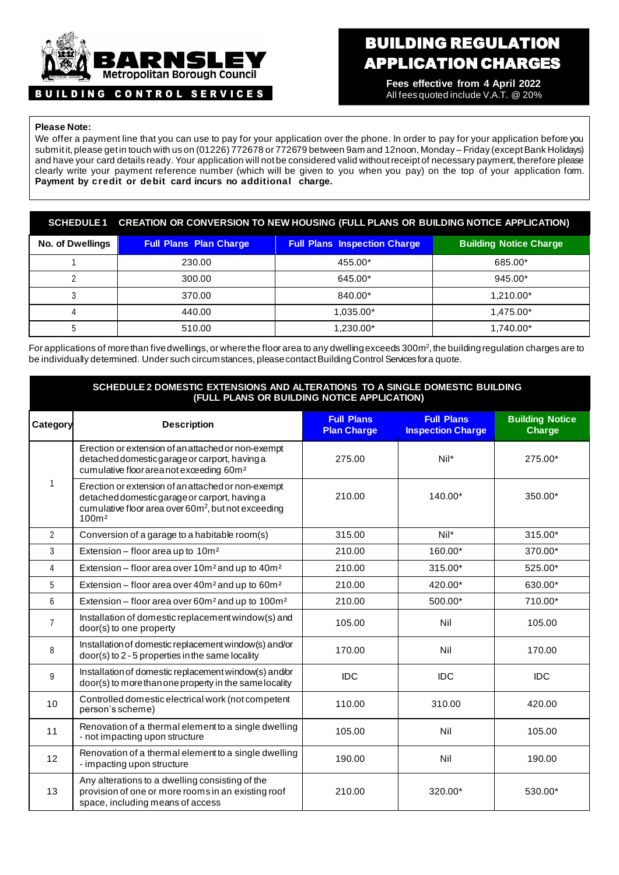

# BUILDING CONTROL SERVICES

# BUILDING REGULATION APPLICATION CHARGES

**Fees effective from 4 April 2022** All fees quoted include V.A.T. @ 20%

## **Please Note:**

We offer a payment line that you can use to pay for your application over the phone. In order to pay for your application before you submit it, please get in touch with us on (01226) 772678 or 772679 between 9am and 12noon, Monday – Friday (except Bank Holidays) and have your card details ready. Your application will not be considered valid without receipt of necessary payment, therefore please clearly write your payment reference number (which will be given to you when you pay) on the top of your application form. **Payment by credit or debit card incurs no additional charge.**

## **SCHEDULE 1 CREATION OR CONVERSION TO NEW HOUSING (FULL PLANS OR BUILDING NOTICE APPLICATION)**

| <b>No. of Dwellings</b> | <b>Full Plans Plan Charge</b> | <b>Full Plans Inspection Charge</b> | <b>Building Notice Charge</b> |
|-------------------------|-------------------------------|-------------------------------------|-------------------------------|
|                         | 230.00                        | 455.00*                             | 685.00*                       |
|                         | 300.00                        | 645.00*                             | 945.00*                       |
|                         | 370.00                        | 840.00*                             | 1.210.00*                     |
|                         | 440.00                        | 1.035.00*                           | 1.475.00*                     |
|                         | 510.00                        | 1,230.00*                           | 1,740.00*                     |

For applications of more than five dwellings, or where the floor area to any dwelling exceeds 300m<sup>2</sup>, the building regulation charges are to be individually determined. Under such circumstances, please contact Building Control Services for a quote.

#### **SCHEDULE 2 DOMESTIC EXTENSIONS AND ALTERATIONS TO A SINGLE DOMESTIC BUILDING (FULL PLANS OR BUILDING NOTICE APPLICATION)**

| Category       | <b>Description</b>                                                                                                                                                                         | <b>Full Plans</b><br><b>Plan Charge</b> | <b>Full Plans</b><br><b>Inspection Charge</b> | <b>Building Notice</b><br><b>Charge</b> |
|----------------|--------------------------------------------------------------------------------------------------------------------------------------------------------------------------------------------|-----------------------------------------|-----------------------------------------------|-----------------------------------------|
|                | Erection or extension of an attached or non-exempt<br>detached domestic garage or carport, having a<br>cumulative floorareanot exceeding 60m <sup>2</sup>                                  | 275.00                                  | $Nil*$                                        | 275.00*                                 |
| 1              | Erection or extension of an attached or non-exempt<br>detached domestic garage or carport, having a<br>cumulative floor area over 60m <sup>2</sup> , but not exceeding<br>100 <sup>m</sup> | 210.00                                  | $140.00*$                                     | 350.00*                                 |
| $\overline{2}$ | Conversion of a garage to a habitable room(s)                                                                                                                                              | 315.00                                  | $Nil*$                                        | 315.00*                                 |
| 3              | Extension - floor area up to 10m <sup>2</sup>                                                                                                                                              | 210.00                                  | 160.00*                                       | 370.00*                                 |
| 4              | Extension - floor area over 10m <sup>2</sup> and up to 40m <sup>2</sup>                                                                                                                    | 210.00                                  | 315.00*                                       | 525.00*                                 |
| 5              | Extension - floor area over 40m <sup>2</sup> and up to 60m <sup>2</sup>                                                                                                                    | 210.00                                  | 420.00*                                       | 630.00*                                 |
| 6              | Extension - floor area over 60m <sup>2</sup> and up to 100m <sup>2</sup>                                                                                                                   | 210.00                                  | 500.00*                                       | 710.00*                                 |
| $\overline{7}$ | Installation of domestic replacement window(s) and<br>door(s) to one property                                                                                                              | 105.00                                  | Nil                                           | 105.00                                  |
| 8              | Installation of domestic replacement window(s) and/or<br>door(s) to 2 - 5 properties in the same locality                                                                                  | 170.00                                  | Nil                                           | 170.00                                  |
| 9              | Installation of domestic replacement window(s) and/or<br>door(s) to more than one property in the same locality                                                                            | <b>IDC</b>                              | <b>IDC</b>                                    | IDC                                     |
| 10             | Controlled domestic electrical work (not competent<br>person's scheme)                                                                                                                     | 110.00                                  | 310.00                                        | 420.00                                  |
| 11             | Renovation of a thermal element to a single dwelling<br>- not impacting upon structure                                                                                                     | 105.00                                  | Nil                                           | 105.00                                  |
| 12             | Renovation of a thermal element to a single dwelling<br>- impacting upon structure                                                                                                         | 190.00                                  | Nil                                           | 190.00                                  |
| 13             | Any alterations to a dwelling consisting of the<br>provision of one or more rooms in an existing roof<br>space, including means of access                                                  | 210.00                                  | 320.00*                                       | 530.00*                                 |